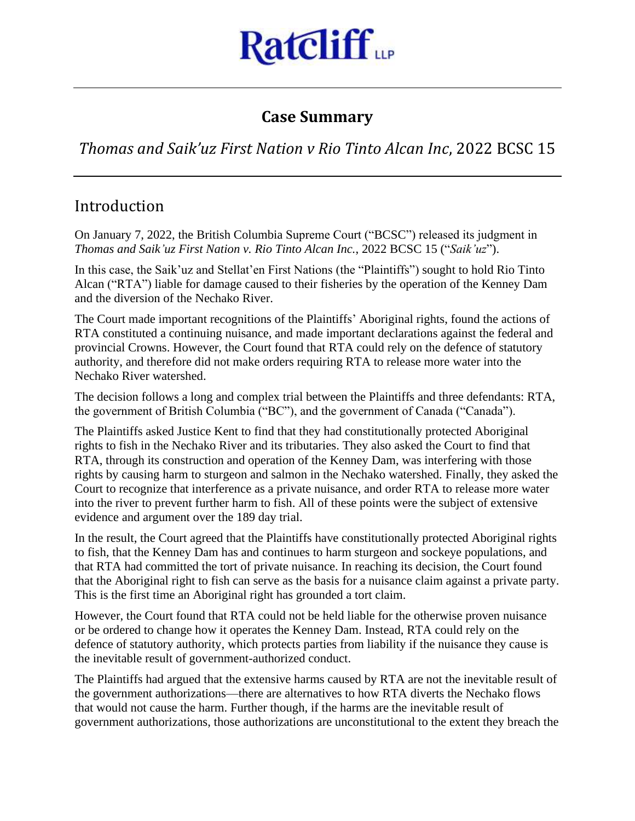

## **Case Summary**

*Thomas and Saik'uz First Nation v Rio Tinto Alcan Inc*, 2022 BCSC 15

# Introduction

On January 7, 2022, the British Columbia Supreme Court ("BCSC") released its judgment in *Thomas and Saik'uz First Nation v. Rio Tinto Alcan Inc.*, 2022 BCSC 15 ("*Saik'uz*").

In this case, the Saik'uz and Stellat'en First Nations (the "Plaintiffs") sought to hold Rio Tinto Alcan ("RTA") liable for damage caused to their fisheries by the operation of the Kenney Dam and the diversion of the Nechako River.

The Court made important recognitions of the Plaintiffs' Aboriginal rights, found the actions of RTA constituted a continuing nuisance, and made important declarations against the federal and provincial Crowns. However, the Court found that RTA could rely on the defence of statutory authority, and therefore did not make orders requiring RTA to release more water into the Nechako River watershed.

The decision follows a long and complex trial between the Plaintiffs and three defendants: RTA, the government of British Columbia ("BC"), and the government of Canada ("Canada").

The Plaintiffs asked Justice Kent to find that they had constitutionally protected Aboriginal rights to fish in the Nechako River and its tributaries. They also asked the Court to find that RTA, through its construction and operation of the Kenney Dam, was interfering with those rights by causing harm to sturgeon and salmon in the Nechako watershed. Finally, they asked the Court to recognize that interference as a private nuisance, and order RTA to release more water into the river to prevent further harm to fish. All of these points were the subject of extensive evidence and argument over the 189 day trial.

In the result, the Court agreed that the Plaintiffs have constitutionally protected Aboriginal rights to fish, that the Kenney Dam has and continues to harm sturgeon and sockeye populations, and that RTA had committed the tort of private nuisance. In reaching its decision, the Court found that the Aboriginal right to fish can serve as the basis for a nuisance claim against a private party. This is the first time an Aboriginal right has grounded a tort claim.

However, the Court found that RTA could not be held liable for the otherwise proven nuisance or be ordered to change how it operates the Kenney Dam. Instead, RTA could rely on the defence of statutory authority, which protects parties from liability if the nuisance they cause is the inevitable result of government-authorized conduct.

The Plaintiffs had argued that the extensive harms caused by RTA are not the inevitable result of the government authorizations—there are alternatives to how RTA diverts the Nechako flows that would not cause the harm. Further though, if the harms are the inevitable result of government authorizations, those authorizations are unconstitutional to the extent they breach the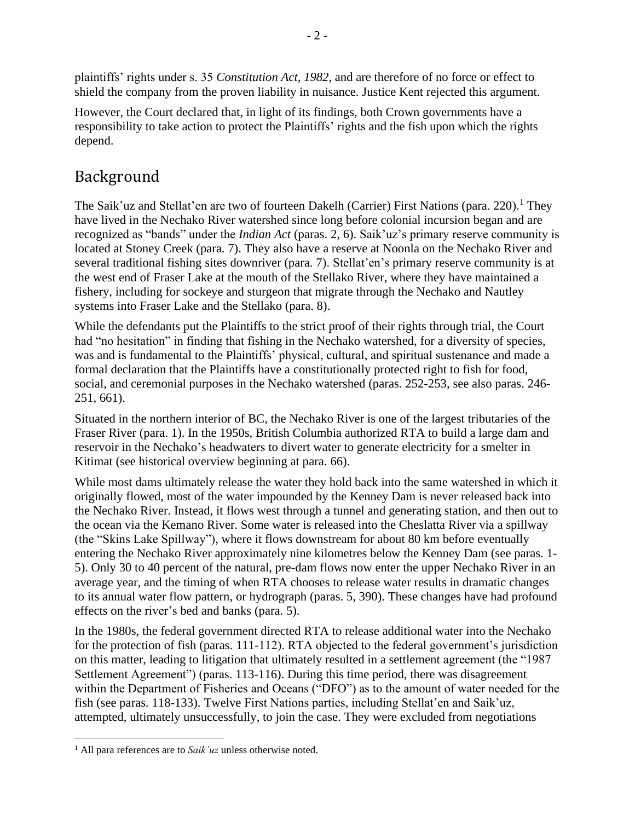plaintiffs' rights under s. 35 *Constitution Act, 1982*, and are therefore of no force or effect to shield the company from the proven liability in nuisance. Justice Kent rejected this argument.

However, the Court declared that, in light of its findings, both Crown governments have a responsibility to take action to protect the Plaintiffs' rights and the fish upon which the rights depend.

## Background

The Saik'uz and Stellat'en are two of fourteen Dakelh (Carrier) First Nations (para. 220).<sup>1</sup> They have lived in the Nechako River watershed since long before colonial incursion began and are recognized as "bands" under the *Indian Act* (paras. 2, 6). Saik'uz's primary reserve community is located at Stoney Creek (para. 7). They also have a reserve at Noonla on the Nechako River and several traditional fishing sites downriver (para. 7). Stellat'en's primary reserve community is at the west end of Fraser Lake at the mouth of the Stellako River, where they have maintained a fishery, including for sockeye and sturgeon that migrate through the Nechako and Nautley systems into Fraser Lake and the Stellako (para. 8).

While the defendants put the Plaintiffs to the strict proof of their rights through trial, the Court had "no hesitation" in finding that fishing in the Nechako watershed, for a diversity of species, was and is fundamental to the Plaintiffs' physical, cultural, and spiritual sustenance and made a formal declaration that the Plaintiffs have a constitutionally protected right to fish for food, social, and ceremonial purposes in the Nechako watershed (paras. 252-253, see also paras. 246- 251, 661).

Situated in the northern interior of BC, the Nechako River is one of the largest tributaries of the Fraser River (para. 1). In the 1950s, British Columbia authorized RTA to build a large dam and reservoir in the Nechako's headwaters to divert water to generate electricity for a smelter in Kitimat (see historical overview beginning at para. 66).

While most dams ultimately release the water they hold back into the same watershed in which it originally flowed, most of the water impounded by the Kenney Dam is never released back into the Nechako River. Instead, it flows west through a tunnel and generating station, and then out to the ocean via the Kemano River. Some water is released into the Cheslatta River via a spillway (the "Skins Lake Spillway"), where it flows downstream for about 80 km before eventually entering the Nechako River approximately nine kilometres below the Kenney Dam (see paras. 1- 5). Only 30 to 40 percent of the natural, pre-dam flows now enter the upper Nechako River in an average year, and the timing of when RTA chooses to release water results in dramatic changes to its annual water flow pattern, or hydrograph (paras. 5, 390). These changes have had profound effects on the river's bed and banks (para. 5).

In the 1980s, the federal government directed RTA to release additional water into the Nechako for the protection of fish (paras. 111-112). RTA objected to the federal government's jurisdiction on this matter, leading to litigation that ultimately resulted in a settlement agreement (the "1987 Settlement Agreement") (paras. 113-116). During this time period, there was disagreement within the Department of Fisheries and Oceans ("DFO") as to the amount of water needed for the fish (see paras. 118-133). Twelve First Nations parties, including Stellat'en and Saik'uz, attempted, ultimately unsuccessfully, to join the case. They were excluded from negotiations

<sup>1</sup> All para references are to *Saik'uz* unless otherwise noted.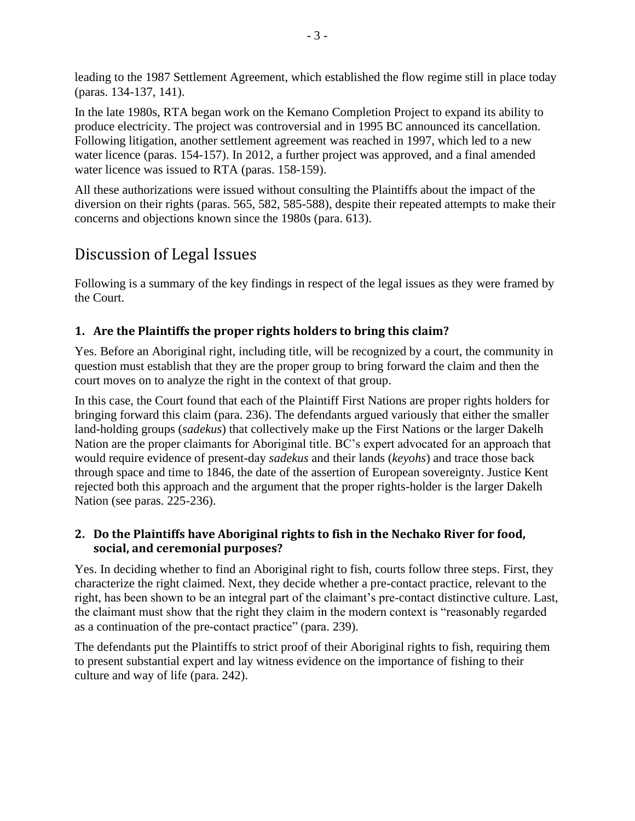leading to the 1987 Settlement Agreement, which established the flow regime still in place today (paras. 134-137, 141).

In the late 1980s, RTA began work on the Kemano Completion Project to expand its ability to produce electricity. The project was controversial and in 1995 BC announced its cancellation. Following litigation, another settlement agreement was reached in 1997, which led to a new water licence (paras. 154-157). In 2012, a further project was approved, and a final amended water licence was issued to RTA (paras. 158-159).

All these authorizations were issued without consulting the Plaintiffs about the impact of the diversion on their rights (paras. 565, 582, 585-588), despite their repeated attempts to make their concerns and objections known since the 1980s (para. 613).

# Discussion of Legal Issues

Following is a summary of the key findings in respect of the legal issues as they were framed by the Court.

## **1. Are the Plaintiffs the proper rights holders to bring this claim?**

Yes. Before an Aboriginal right, including title, will be recognized by a court, the community in question must establish that they are the proper group to bring forward the claim and then the court moves on to analyze the right in the context of that group.

In this case, the Court found that each of the Plaintiff First Nations are proper rights holders for bringing forward this claim (para. 236). The defendants argued variously that either the smaller land-holding groups (*sadekus*) that collectively make up the First Nations or the larger Dakelh Nation are the proper claimants for Aboriginal title. BC's expert advocated for an approach that would require evidence of present-day *sadekus* and their lands (*keyohs*) and trace those back through space and time to 1846, the date of the assertion of European sovereignty. Justice Kent rejected both this approach and the argument that the proper rights-holder is the larger Dakelh Nation (see paras. 225-236).

## **2. Do the Plaintiffs have Aboriginal rights to fish in the Nechako River for food, social, and ceremonial purposes?**

Yes. In deciding whether to find an Aboriginal right to fish, courts follow three steps. First, they characterize the right claimed. Next, they decide whether a pre-contact practice, relevant to the right, has been shown to be an integral part of the claimant's pre-contact distinctive culture. Last, the claimant must show that the right they claim in the modern context is "reasonably regarded as a continuation of the pre-contact practice" (para. 239).

The defendants put the Plaintiffs to strict proof of their Aboriginal rights to fish, requiring them to present substantial expert and lay witness evidence on the importance of fishing to their culture and way of life (para. 242).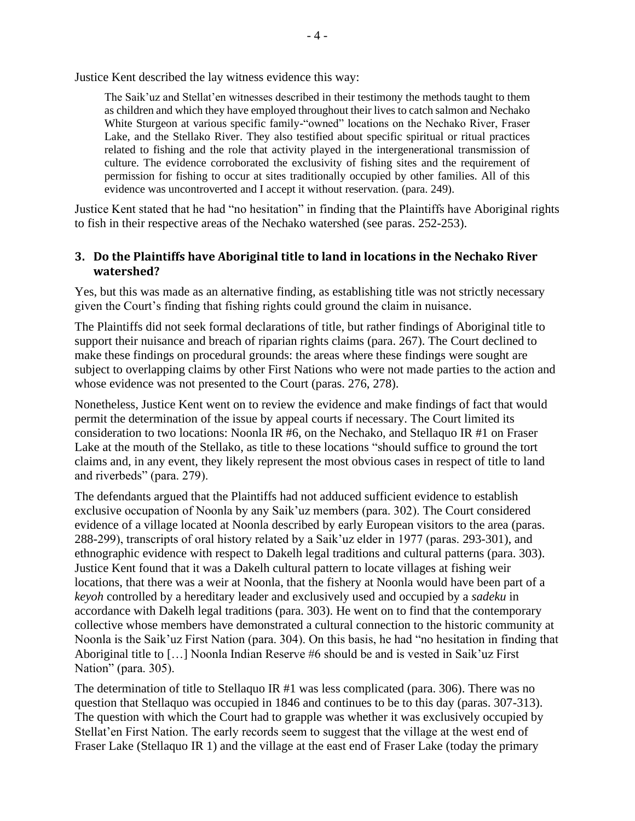Justice Kent described the lay witness evidence this way:

The Saik'uz and Stellat'en witnesses described in their testimony the methods taught to them as children and which they have employed throughout their lives to catch salmon and Nechako White Sturgeon at various specific family-"owned" locations on the Nechako River, Fraser Lake, and the Stellako River. They also testified about specific spiritual or ritual practices related to fishing and the role that activity played in the intergenerational transmission of culture. The evidence corroborated the exclusivity of fishing sites and the requirement of permission for fishing to occur at sites traditionally occupied by other families. All of this evidence was uncontroverted and I accept it without reservation. (para. 249).

Justice Kent stated that he had "no hesitation" in finding that the Plaintiffs have Aboriginal rights to fish in their respective areas of the Nechako watershed (see paras. 252-253).

#### **3. Do the Plaintiffs have Aboriginal title to land in locations in the Nechako River watershed?**

Yes, but this was made as an alternative finding, as establishing title was not strictly necessary given the Court's finding that fishing rights could ground the claim in nuisance.

The Plaintiffs did not seek formal declarations of title, but rather findings of Aboriginal title to support their nuisance and breach of riparian rights claims (para. 267). The Court declined to make these findings on procedural grounds: the areas where these findings were sought are subject to overlapping claims by other First Nations who were not made parties to the action and whose evidence was not presented to the Court (paras. 276, 278).

Nonetheless, Justice Kent went on to review the evidence and make findings of fact that would permit the determination of the issue by appeal courts if necessary. The Court limited its consideration to two locations: Noonla IR #6, on the Nechako, and Stellaquo IR #1 on Fraser Lake at the mouth of the Stellako, as title to these locations "should suffice to ground the tort claims and, in any event, they likely represent the most obvious cases in respect of title to land and riverbeds" (para. 279).

The defendants argued that the Plaintiffs had not adduced sufficient evidence to establish exclusive occupation of Noonla by any Saik'uz members (para. 302). The Court considered evidence of a village located at Noonla described by early European visitors to the area (paras. 288-299), transcripts of oral history related by a Saik'uz elder in 1977 (paras. 293-301), and ethnographic evidence with respect to Dakelh legal traditions and cultural patterns (para. 303). Justice Kent found that it was a Dakelh cultural pattern to locate villages at fishing weir locations, that there was a weir at Noonla, that the fishery at Noonla would have been part of a *keyoh* controlled by a hereditary leader and exclusively used and occupied by a *sadeku* in accordance with Dakelh legal traditions (para. 303). He went on to find that the contemporary collective whose members have demonstrated a cultural connection to the historic community at Noonla is the Saik'uz First Nation (para. 304). On this basis, he had "no hesitation in finding that Aboriginal title to […] Noonla Indian Reserve #6 should be and is vested in Saik'uz First Nation" (para. 305).

The determination of title to Stellaquo IR #1 was less complicated (para. 306). There was no question that Stellaquo was occupied in 1846 and continues to be to this day (paras. 307-313). The question with which the Court had to grapple was whether it was exclusively occupied by Stellat'en First Nation. The early records seem to suggest that the village at the west end of Fraser Lake (Stellaquo IR 1) and the village at the east end of Fraser Lake (today the primary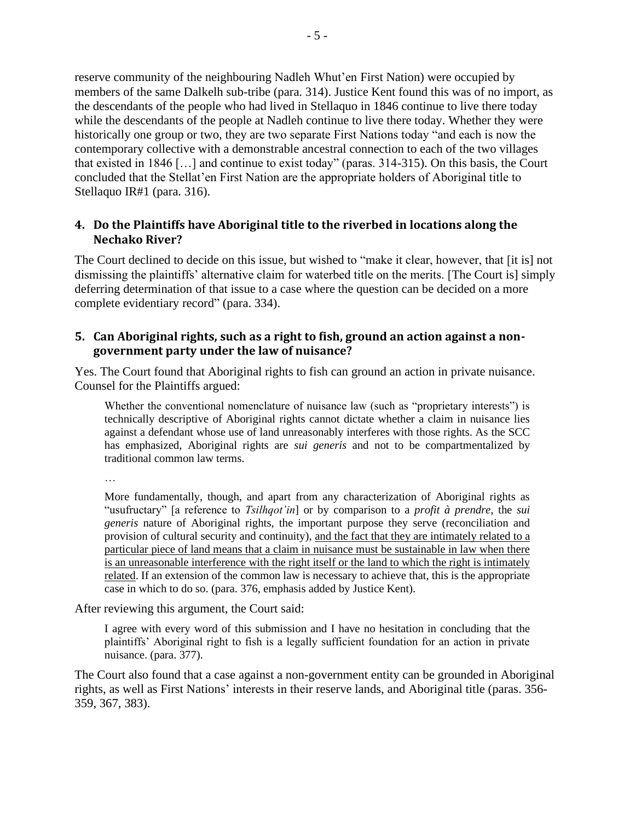reserve community of the neighbouring Nadleh Whut'en First Nation) were occupied by members of the same Dalkelh sub-tribe (para. 314). Justice Kent found this was of no import, as the descendants of the people who had lived in Stellaquo in 1846 continue to live there today while the descendants of the people at Nadleh continue to live there today. Whether they were historically one group or two, they are two separate First Nations today "and each is now the contemporary collective with a demonstrable ancestral connection to each of the two villages that existed in 1846 […] and continue to exist today" (paras. 314-315). On this basis, the Court concluded that the Stellat'en First Nation are the appropriate holders of Aboriginal title to Stellaquo IR#1 (para. 316).

### **4. Do the Plaintiffs have Aboriginal title to the riverbed in locations along the Nechako River?**

The Court declined to decide on this issue, but wished to "make it clear, however, that [it is] not dismissing the plaintiffs' alternative claim for waterbed title on the merits. [The Court is] simply deferring determination of that issue to a case where the question can be decided on a more complete evidentiary record" (para. 334).

#### **5. Can Aboriginal rights, such as a right to fish, ground an action against a nongovernment party under the law of nuisance?**

Yes. The Court found that Aboriginal rights to fish can ground an action in private nuisance. Counsel for the Plaintiffs argued:

Whether the conventional nomenclature of nuisance law (such as "proprietary interests") is technically descriptive of Aboriginal rights cannot dictate whether a claim in nuisance lies against a defendant whose use of land unreasonably interferes with those rights. As the SCC has emphasized, Aboriginal rights are *sui generis* and not to be compartmentalized by traditional common law terms.

…

More fundamentally, though, and apart from any characterization of Aboriginal rights as "usufructary" [a reference to *Tsilhqot'in*] or by comparison to a *profit à prendre*, the *sui generis* nature of Aboriginal rights, the important purpose they serve (reconciliation and provision of cultural security and continuity), and the fact that they are intimately related to a particular piece of land means that a claim in nuisance must be sustainable in law when there is an unreasonable interference with the right itself or the land to which the right is intimately related. If an extension of the common law is necessary to achieve that, this is the appropriate case in which to do so. (para. 376, emphasis added by Justice Kent).

After reviewing this argument, the Court said:

I agree with every word of this submission and I have no hesitation in concluding that the plaintiffs' Aboriginal right to fish is a legally sufficient foundation for an action in private nuisance. (para. 377).

The Court also found that a case against a non-government entity can be grounded in Aboriginal rights, as well as First Nations' interests in their reserve lands, and Aboriginal title (paras. 356- 359, 367, 383).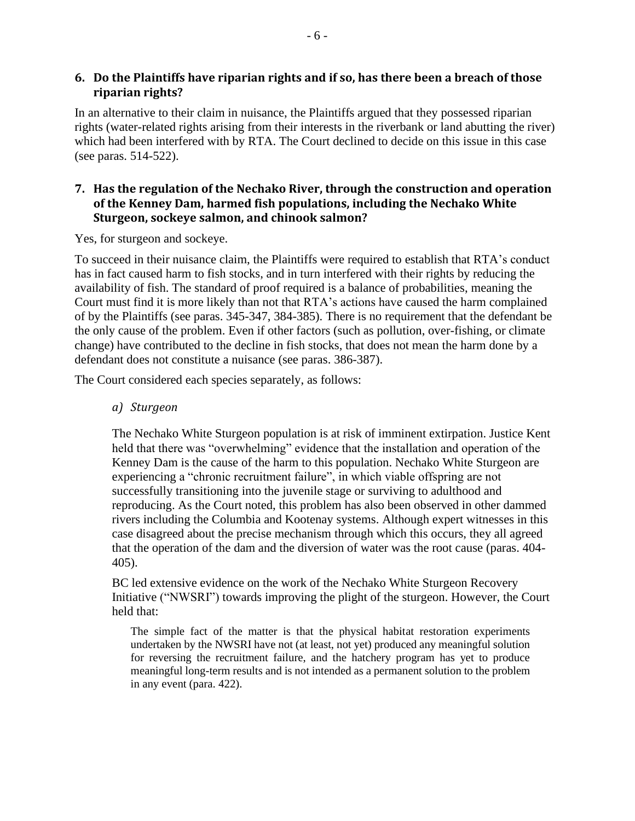### **6. Do the Plaintiffs have riparian rights and if so, has there been a breach of those riparian rights?**

In an alternative to their claim in nuisance, the Plaintiffs argued that they possessed riparian rights (water-related rights arising from their interests in the riverbank or land abutting the river) which had been interfered with by RTA. The Court declined to decide on this issue in this case (see paras. 514-522).

### **7. Has the regulation of the Nechako River, through the construction and operation of the Kenney Dam, harmed fish populations, including the Nechako White Sturgeon, sockeye salmon, and chinook salmon?**

Yes, for sturgeon and sockeye.

To succeed in their nuisance claim, the Plaintiffs were required to establish that RTA's conduct has in fact caused harm to fish stocks, and in turn interfered with their rights by reducing the availability of fish. The standard of proof required is a balance of probabilities, meaning the Court must find it is more likely than not that RTA's actions have caused the harm complained of by the Plaintiffs (see paras. 345-347, 384-385). There is no requirement that the defendant be the only cause of the problem. Even if other factors (such as pollution, over-fishing, or climate change) have contributed to the decline in fish stocks, that does not mean the harm done by a defendant does not constitute a nuisance (see paras. 386-387).

The Court considered each species separately, as follows:

*a) Sturgeon*

The Nechako White Sturgeon population is at risk of imminent extirpation. Justice Kent held that there was "overwhelming" evidence that the installation and operation of the Kenney Dam is the cause of the harm to this population. Nechako White Sturgeon are experiencing a "chronic recruitment failure", in which viable offspring are not successfully transitioning into the juvenile stage or surviving to adulthood and reproducing. As the Court noted, this problem has also been observed in other dammed rivers including the Columbia and Kootenay systems. Although expert witnesses in this case disagreed about the precise mechanism through which this occurs, they all agreed that the operation of the dam and the diversion of water was the root cause (paras. 404- 405).

BC led extensive evidence on the work of the Nechako White Sturgeon Recovery Initiative ("NWSRI") towards improving the plight of the sturgeon. However, the Court held that:

The simple fact of the matter is that the physical habitat restoration experiments undertaken by the NWSRI have not (at least, not yet) produced any meaningful solution for reversing the recruitment failure, and the hatchery program has yet to produce meaningful long-term results and is not intended as a permanent solution to the problem in any event (para. 422).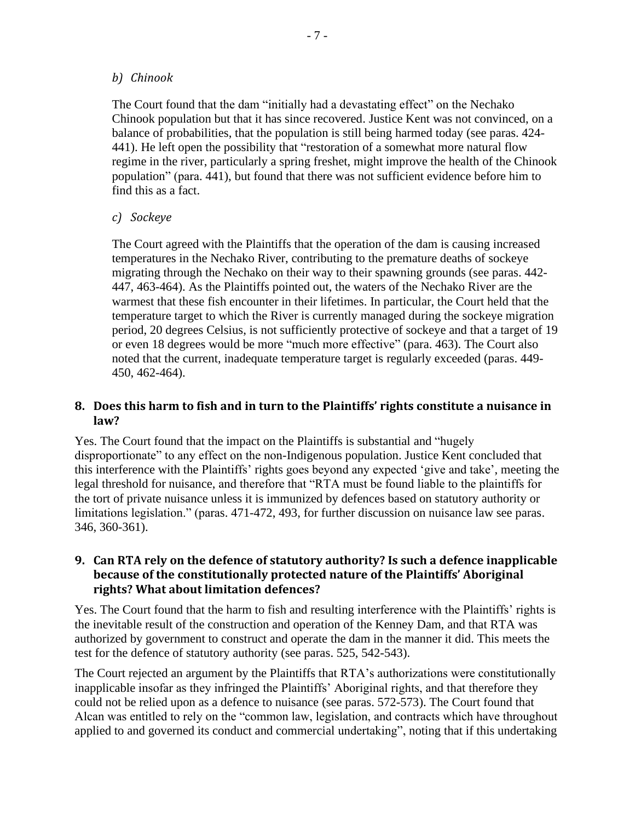#### *b) Chinook*

The Court found that the dam "initially had a devastating effect" on the Nechako Chinook population but that it has since recovered. Justice Kent was not convinced, on a balance of probabilities, that the population is still being harmed today (see paras. 424- 441). He left open the possibility that "restoration of a somewhat more natural flow regime in the river, particularly a spring freshet, might improve the health of the Chinook population" (para. 441), but found that there was not sufficient evidence before him to find this as a fact.

#### *c) Sockeye*

The Court agreed with the Plaintiffs that the operation of the dam is causing increased temperatures in the Nechako River, contributing to the premature deaths of sockeye migrating through the Nechako on their way to their spawning grounds (see paras. 442- 447, 463-464). As the Plaintiffs pointed out, the waters of the Nechako River are the warmest that these fish encounter in their lifetimes. In particular, the Court held that the temperature target to which the River is currently managed during the sockeye migration period, 20 degrees Celsius, is not sufficiently protective of sockeye and that a target of 19 or even 18 degrees would be more "much more effective" (para. 463). The Court also noted that the current, inadequate temperature target is regularly exceeded (paras. 449- 450, 462-464).

#### **8. Does this harm to fish and in turn to the Plaintiffs' rights constitute a nuisance in law?**

Yes. The Court found that the impact on the Plaintiffs is substantial and "hugely disproportionate" to any effect on the non-Indigenous population. Justice Kent concluded that this interference with the Plaintiffs' rights goes beyond any expected 'give and take', meeting the legal threshold for nuisance, and therefore that "RTA must be found liable to the plaintiffs for the tort of private nuisance unless it is immunized by defences based on statutory authority or limitations legislation." (paras. 471-472, 493, for further discussion on nuisance law see paras. 346, 360-361).

#### **9. Can RTA rely on the defence of statutory authority? Is such a defence inapplicable because of the constitutionally protected nature of the Plaintiffs' Aboriginal rights? What about limitation defences?**

Yes. The Court found that the harm to fish and resulting interference with the Plaintiffs' rights is the inevitable result of the construction and operation of the Kenney Dam, and that RTA was authorized by government to construct and operate the dam in the manner it did. This meets the test for the defence of statutory authority (see paras. 525, 542-543).

The Court rejected an argument by the Plaintiffs that RTA's authorizations were constitutionally inapplicable insofar as they infringed the Plaintiffs' Aboriginal rights, and that therefore they could not be relied upon as a defence to nuisance (see paras. 572-573). The Court found that Alcan was entitled to rely on the "common law, legislation, and contracts which have throughout applied to and governed its conduct and commercial undertaking", noting that if this undertaking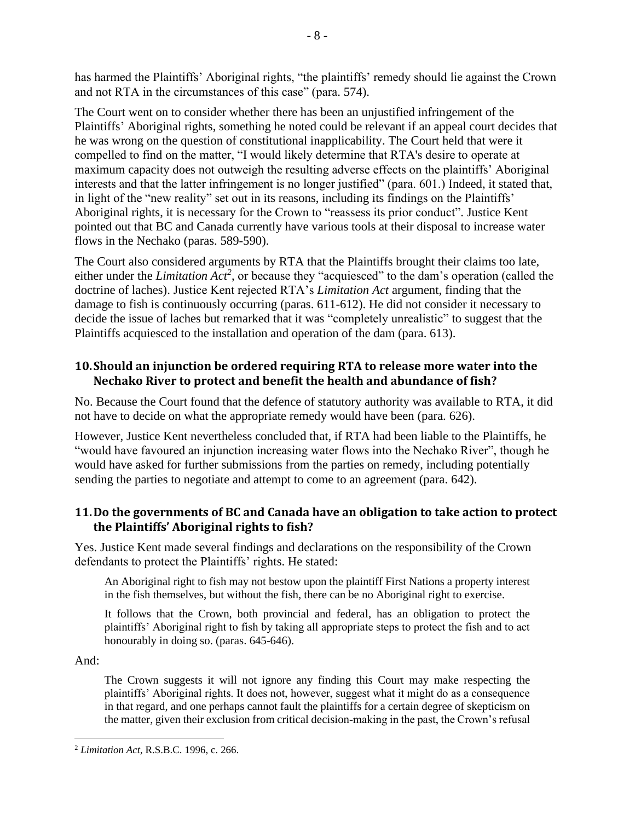has harmed the Plaintiffs' Aboriginal rights, "the plaintiffs' remedy should lie against the Crown and not RTA in the circumstances of this case" (para. 574).

The Court went on to consider whether there has been an unjustified infringement of the Plaintiffs' Aboriginal rights, something he noted could be relevant if an appeal court decides that he was wrong on the question of constitutional inapplicability. The Court held that were it compelled to find on the matter, "I would likely determine that RTA's desire to operate at maximum capacity does not outweigh the resulting adverse effects on the plaintiffs' Aboriginal interests and that the latter infringement is no longer justified" (para. 601.) Indeed, it stated that, in light of the "new reality" set out in its reasons, including its findings on the Plaintiffs' Aboriginal rights, it is necessary for the Crown to "reassess its prior conduct". Justice Kent pointed out that BC and Canada currently have various tools at their disposal to increase water flows in the Nechako (paras. 589-590).

The Court also considered arguments by RTA that the Plaintiffs brought their claims too late, either under the *Limitation Act<sup>2</sup>*, or because they "acquiesced" to the dam's operation (called the doctrine of laches). Justice Kent rejected RTA's *Limitation Act* argument, finding that the damage to fish is continuously occurring (paras. 611-612). He did not consider it necessary to decide the issue of laches but remarked that it was "completely unrealistic" to suggest that the Plaintiffs acquiesced to the installation and operation of the dam (para. 613).

### **10.Should an injunction be ordered requiring RTA to release more water into the Nechako River to protect and benefit the health and abundance of fish?**

No. Because the Court found that the defence of statutory authority was available to RTA, it did not have to decide on what the appropriate remedy would have been (para. 626).

However, Justice Kent nevertheless concluded that, if RTA had been liable to the Plaintiffs, he "would have favoured an injunction increasing water flows into the Nechako River", though he would have asked for further submissions from the parties on remedy, including potentially sending the parties to negotiate and attempt to come to an agreement (para. 642).

### **11.Do the governments of BC and Canada have an obligation to take action to protect the Plaintiffs' Aboriginal rights to fish?**

Yes. Justice Kent made several findings and declarations on the responsibility of the Crown defendants to protect the Plaintiffs' rights. He stated:

An Aboriginal right to fish may not bestow upon the plaintiff First Nations a property interest in the fish themselves, but without the fish, there can be no Aboriginal right to exercise.

It follows that the Crown, both provincial and federal, has an obligation to protect the plaintiffs' Aboriginal right to fish by taking all appropriate steps to protect the fish and to act honourably in doing so. (paras. 645-646).

And:

The Crown suggests it will not ignore any finding this Court may make respecting the plaintiffs' Aboriginal rights. It does not, however, suggest what it might do as a consequence in that regard, and one perhaps cannot fault the plaintiffs for a certain degree of skepticism on the matter, given their exclusion from critical decision-making in the past, the Crown's refusal

<sup>2</sup> *Limitation Act*, R.S.B.C. 1996, c. 266.